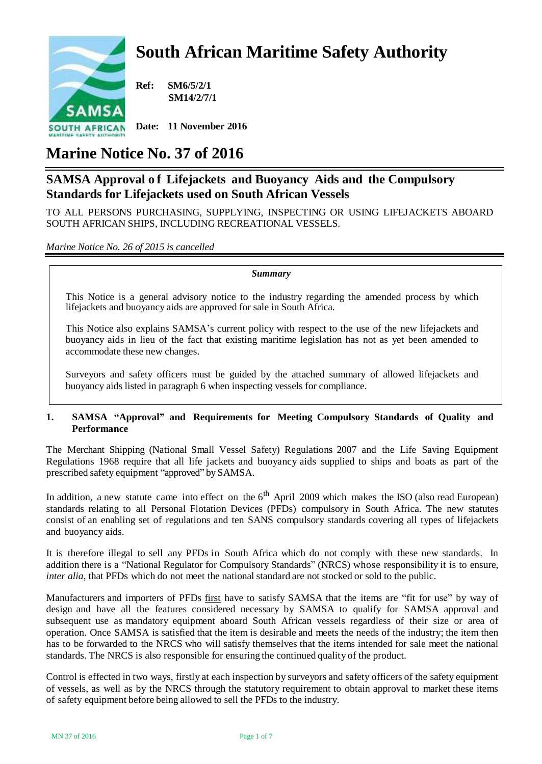# **South African Maritime Safety Authority**



**Ref: SM6/5/2/1 SM14/2/7/1**

**Date: 11 November 2016**

## **Marine Notice No. 37 of 2016**

## **SAMSA Approval o f Lifejackets and Buoyancy Aids and the Compulsory Standards for Lifejackets used on South African Vessels**

TO ALL PERSONS PURCHASING, SUPPLYING, INSPECTING OR USING LIFEJACKETS ABOARD SOUTH AFRICAN SHIPS, INCLUDING RECREATIONAL VESSELS.

### *Marine Notice No. 26 of 2015 is cancelled*

*Summary*

This Notice is a general advisory notice to the industry regarding the amended process by which lifejackets and buoyancy aids are approved for sale in South Africa.

This Notice also explains SAMSA's current policy with respect to the use of the new lifejackets and buoyancy aids in lieu of the fact that existing maritime legislation has not as yet been amended to accommodate these new changes.

Surveyors and safety officers must be guided by the attached summary of allowed lifejackets and buoyancy aids listed in paragraph 6 when inspecting vessels for compliance.

#### **1. SAMSA "Approval" and Requirements for Meeting Compulsory Standards of Quality and Performance**

The Merchant Shipping (National Small Vessel Safety) Regulations 2007 and the Life Saving Equipment Regulations 1968 require that all life jackets and buoyancy aids supplied to ships and boats as part of the prescribed safety equipment "approved" by SAMSA.

In addition, a new statute came into effect on the  $6<sup>th</sup>$  April 2009 which makes the ISO (also read European) standards relating to all Personal Flotation Devices (PFDs) compulsory in South Africa. The new statutes consist of an enabling set of regulations and ten SANS compulsory standards covering all types of lifejackets and buoyancy aids.

It is therefore illegal to sell any PFDs in South Africa which do not comply with these new standards. In addition there is a "National Regulator for Compulsory Standards" (NRCS) whose responsibility it is to ensure, *inter alia*, that PFDs which do not meet the national standard are not stocked or sold to the public.

Manufacturers and importers of PFDs first have to satisfy SAMSA that the items are "fit for use" by way of design and have all the features considered necessary by SAMSA to qualify for SAMSA approval and subsequent use as mandatory equipment aboard South African vessels regardless of their size or area of operation. Once SAMSA is satisfied that the item is desirable and meets the needs of the industry; the item then has to be forwarded to the NRCS who will satisfy themselves that the items intended for sale meet the national standards. The NRCS is also responsible for ensuring the continued quality of the product.

Control is effected in two ways, firstly at each inspection by surveyors and safety officers of the safety equipment of vessels, as well as by the NRCS through the statutory requirement to obtain approval to market these items of safety equipment before being allowed to sell the PFDs to the industry.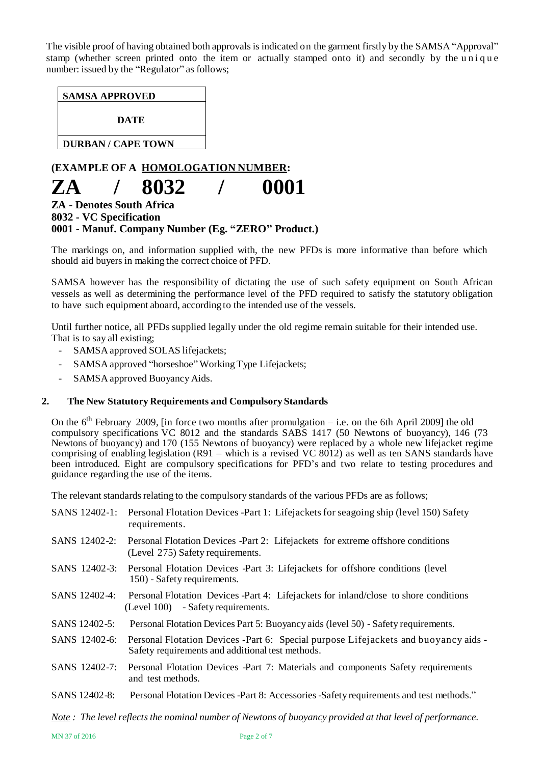The visible proof of having obtained both approvals is indicated on the garment firstly by the SAMSA "Approval" stamp (whether screen printed onto the item or actually stamped onto it) and secondly by the unique number: issued by the "Regulator" as follows;

**DATE**

**DURBAN / CAPE TOWN**

## **(EXAMPLE OF A HOMOLOGATION NUMBER: ZA / 8032 / 0001**

## **ZA - Denotes South Africa 8032 - VC Specification 0001 - Manuf. Company Number (Eg. "ZERO" Product.)**

The markings on, and information supplied with, the new PFDs is more informative than before which should aid buyers in making the correct choice of PFD.

SAMSA however has the responsibility of dictating the use of such safety equipment on South African vessels as well as determining the performance level of the PFD required to satisfy the statutory obligation to have such equipment aboard, according to the intended use of the vessels.

Until further notice, all PFDs supplied legally under the old regime remain suitable for their intended use. That is to say all existing;

- SAMSA approved SOLAS lifejackets;
- SAMSA approved "horseshoe" Working Type Lifejackets;
- SAMSA approved Buoyancy Aids.

#### **2. The New Statutory Requirements and Compulsory Standards**

On the  $6<sup>th</sup>$  February 2009, [in force two months after promulgation – i.e. on the 6th April 2009] the old compulsory specifications VC 8012 and the standards SABS 1417 (50 Newtons of buoyancy), 146 (73 Newtons of buoyancy) and 170 (155 Newtons of buoyancy) were replaced by a whole new lifejacket regime comprising of enabling legislation (R91 – which is a revised VC 8012) as well as ten SANS standards have been introduced. Eight are compulsory specifications for PFD's and two relate to testing procedures and guidance regarding the use of the items.

The relevant standards relating to the compulsory standards of the various PFDs are as follows;

| SANS 12402-1: | Personal Flotation Devices -Part 1: Lifejackets for seagoing ship (level 150) Safety<br>requirements.                                   |
|---------------|-----------------------------------------------------------------------------------------------------------------------------------------|
| SANS 12402-2: | Personal Flotation Devices -Part 2: Lifejackets for extreme offshore conditions<br>(Level 275) Safety requirements.                     |
| SANS 12402-3: | Personal Flotation Devices -Part 3: Lifejackets for offshore conditions (level)<br>150) - Safety requirements.                          |
| SANS 12402-4: | Personal Flotation Devices -Part 4: Lifejackets for inland/close to shore conditions<br>(Level 100) - Safety requirements.              |
| SANS 12402-5: | Personal Flotation Devices Part 5: Buoyancy aids (level 50) - Safety requirements.                                                      |
| SANS 12402-6: | Personal Flotation Devices -Part 6: Special purpose Lifejackets and buoyancy aids -<br>Safety requirements and additional test methods. |
| SANS 12402-7: | Personal Flotation Devices -Part 7: Materials and components Safety requirements<br>and test methods.                                   |
| SANS 12402-8: | Personal Flotation Devices -Part 8: Accessories -Safety requirements and test methods."                                                 |
|               |                                                                                                                                         |

*Note : The level reflectsthe nominal number of Newtons of buoyancy provided at that level of performance.*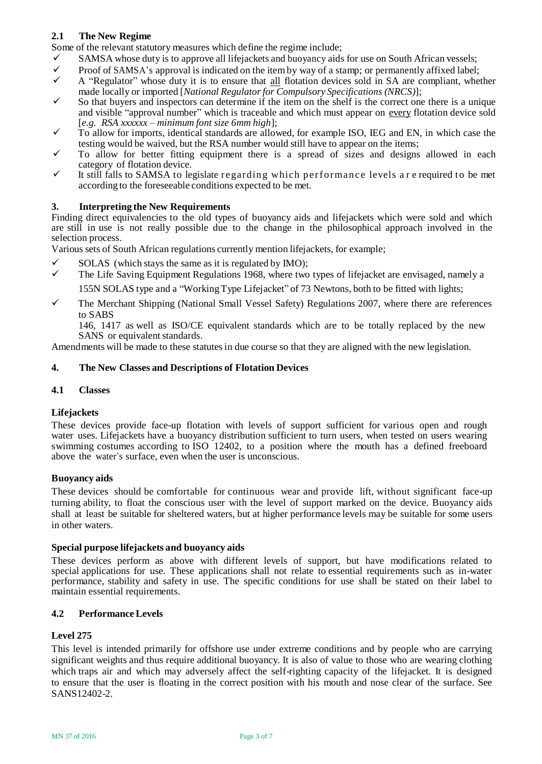### **2.1 The New Regime**

Some of the relevant statutory measures which define the regime include;

- $\checkmark$  SAMSA whose duty is to approve all lifejackets and buoyancy aids for use on South African vessels;<br>Proof of SAMSA's approval is indicated on the item by way of a stamp; or permanently affixed label:
- Proof of SAMSA's approval is indicated on the item by way of a stamp; or permanently affixed label;<br>A "Bequilator" whose duty it is to ensure that all flotation devices sold in SA are compliant, whet
- A "Regulator" whose duty it is to ensure that all flotation devices sold in SA are compliant, whether made locally or imported [*National Regulatorfor Compulsory Specifications (NRCS)*];
- $\checkmark$  So that buyers and inspectors can determine if the item on the shelf is the correct one there is a unique and visible "approval number" which is traceable and which must appear on every flotation device sold [*e.g. RSA xxxxxx – minimum font size 6mm high*];
- $\checkmark$  To allow for imports, identical standards are allowed, for example ISO, IEG and EN, in which case the testing would be waived, but the RSA number would still have to appear on the items;
- $\checkmark$  To allow for better fitting equipment there is a spread of sizes and designs allowed in each category of flotation device.
- $\checkmark$  It still falls to SAMSA to legislate regarding which performance levels a reprequired to be met according to the foreseeable conditions expected to be met.

#### **3. Interpreting the New Requirements**

Finding direct equivalencies to the old types of buoyancy aids and lifejackets which were sold and which are still in use is not really possible due to the change in the philosophical approach involved in the selection process.

Various sets of South African regulations currently mention lifejackets, for example;

- $\checkmark$  SOLAS (which stays the same as it is regulated by IMO);
- $\checkmark$  The Life Saving Equipment Regulations 1968, where two types of lifejacket are envisaged, namely a 155N SOLAS type and a "WorkingType Lifejacket" of 73 Newtons, both to be fitted with lights;
- $\checkmark$  The Merchant Shipping (National Small Vessel Safety) Regulations 2007, where there are references to SABS

146, 1417 as well as ISO/CE equivalent standards which are to be totally replaced by the new SANS or equivalent standards.

Amendments will be made to these statutes in due course so that they are aligned with the new legislation.

#### **4. The New Classes and Descriptions of Flotation Devices**

#### **4.1 Classes**

#### **Lifejackets**

These devices provide face-up flotation with levels of support sufficient for various open and rough water uses. Lifejackets have a buoyancy distribution sufficient to turn users, when tested on users wearing swimming costumes according to ISO 12402, to a position where the mouth has a defined freeboard above the water's surface, even when the user is unconscious.

#### **Buoyancy aids**

These devices should be comfortable for continuous wear and provide lift, without significant face-up turning ability, to float the conscious user with the level of support marked on the device. Buoyancy aids shall at least be suitable for sheltered waters, but at higher performance levels may be suitable for some users in other waters.

#### **Special purpose lifejackets and buoyancy aids**

These devices perform as above with different levels of support, but have modifications related to special applications for use. These applications shall not relate to essential requirements such as in-water performance, stability and safety in use. The specific conditions for use shall be stated on their label to maintain essential requirements.

#### **4.2 PerformanceLevels**

#### **Level 275**

This level is intended primarily for offshore use under extreme conditions and by people who are carrying significant weights and thus require additional buoyancy. It is also of value to those who are wearing clothing which traps air and which may adversely affect the self-righting capacity of the lifejacket. It is designed to ensure that the user is floating in the correct position with his mouth and nose clear of the surface. See SANS12402-2.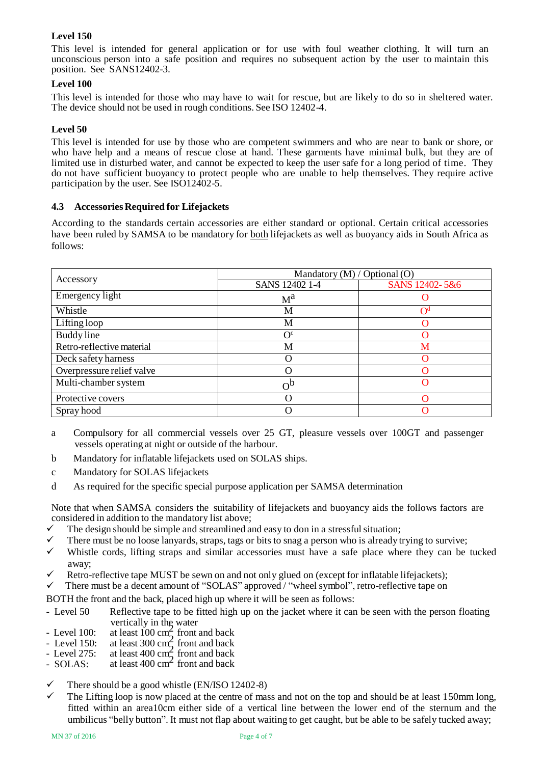## **Level 150**

This level is intended for general application or for use with foul weather clothing. It will turn an unconscious person into a safe position and requires no subsequent action by the user to maintain this position. See SANS12402-3.

#### **Level 100**

This level is intended for those who may have to wait for rescue, but are likely to do so in sheltered water. The device should not be used in rough conditions. See ISO 12402-4.

#### **Level 50**

This level is intended for use by those who are competent swimmers and who are near to bank or shore, or who have help and a means of rescue close at hand. These garments have minimal bulk, but they are of limited use in disturbed water, and cannot be expected to keep the user safe for a long period of time. They do not have sufficient buoyancy to protect people who are unable to help themselves. They require active participation by the user. See ISO12402-5.

#### **4.3 Accessories Required for Lifejackets**

According to the standards certain accessories are either standard or optional. Certain critical accessories have been ruled by SAMSA to be mandatory for both lifejackets as well as buoyancy aids in South Africa as follows:

|                           | Mandatory (M) / Optional (O) |                   |  |  |
|---------------------------|------------------------------|-------------------|--|--|
| Accessory                 | SANS 12402 1-4               | SANS 12402-5&6    |  |  |
| Emergency light           | $M^a$                        |                   |  |  |
| Whistle                   | M                            | $\bigcap^{\rm d}$ |  |  |
| Lifting loop              | М                            |                   |  |  |
| Buddy line                | $O^{c}$                      |                   |  |  |
| Retro-reflective material | М                            | M                 |  |  |
| Deck safety harness       | $\left( \right)$             |                   |  |  |
| Overpressure relief valve | ∩                            |                   |  |  |
| Multi-chamber system      | $\Omega_{\rm p}$             | 0                 |  |  |
| Protective covers         | ∩                            |                   |  |  |
| Spray hood                | O                            |                   |  |  |

- a Compulsory for all commercial vessels over 25 GT, pleasure vessels over 100GT and passenger vessels operating at night or outside of the harbour.
- b Mandatory for inflatable lifejackets used on SOLAS ships.
- c Mandatory for SOLAS lifejackets
- d As required for the specific special purpose application per SAMSA determination

Note that when SAMSA considers the suitability of lifejackets and buoyancy aids the follows factors are considered in addition to the mandatory list above;

- $\checkmark$  The design should be simple and streamlined and easy to don in a stressful situation;
- $\checkmark$  There must be no loose lanyards, straps, tags or bits to snag a person who is already trying to survive;
- $\checkmark$  Whistle cords, lifting straps and similar accessories must have a safe place where they can be tucked away;
- Retro-reflective tape MUST be sewn on and not only glued on (except for inflatable lifejackets);
- $\checkmark$  There must be a decent amount of "SOLAS" approved / "wheel symbol", retro-reflective tape on

BOTH the front and the back, placed high up where it will be seen as follows:

- Level 50 Reflective tape to be fitted high up on the jacket where it can be seen with the person floating vertically in the water
- Level 100: at least 100 cm<sup>2</sup> front and back
- Level 150: at least  $300 \text{ cm}^2$  front and back
- Level 275: at least  $400 \text{ cm}^2$  front and back
- $\sim$  EUVET 275. at least 400 cm<sup>2</sup> front and back<br>SOLAS: at least 400 cm<sup>2</sup> front and back
- There should be a good whistle (EN/ISO 12402-8)
- The Lifting loop is now placed at the centre of mass and not on the top and should be at least 150mm long, fitted within an area10cm either side of a vertical line between the lower end of the sternum and the umbilicus "belly button". It must not flap about waiting to get caught, but be able to be safely tucked away;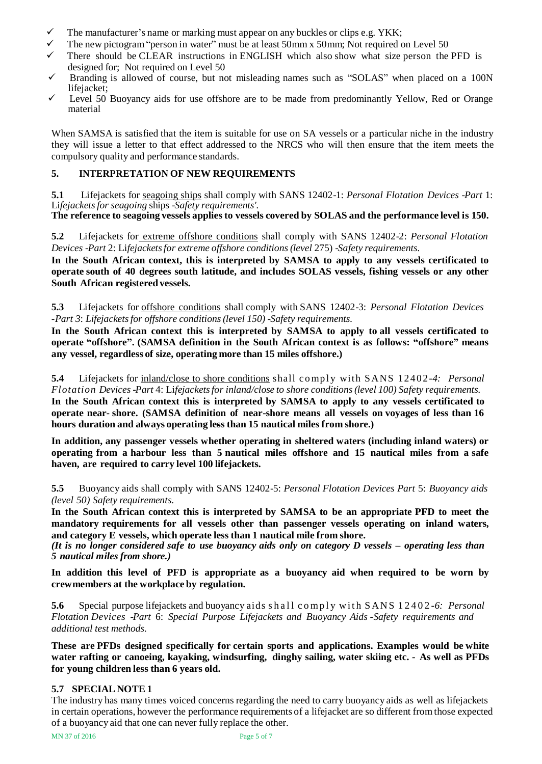- $\checkmark$  The manufacturer's name or marking must appear on any buckles or clips e.g. YKK;
- The new pictogram"person in water" must be at least 50mm x 50mm; Not required on Level 50
- There should be CLEAR instructions in ENGLISH which also show what size person the PFD is designed for; Not required on Level 50
- $\checkmark$  Branding is allowed of course, but not misleading names such as "SOLAS" when placed on a 100N lifejacket;
- $\checkmark$  Level 50 Buoyancy aids for use offshore are to be made from predominantly Yellow, Red or Orange material

When SAMSA is satisfied that the item is suitable for use on SA vessels or a particular niche in the industry they will issue a letter to that effect addressed to the NRCS who will then ensure that the item meets the compulsory quality and performance standards.

## **5. INTERPRETATION OF NEW REQUIREMENTS**

**5.1** Lifejackets for seagoing ships shall comply with SANS 12402-1: *Personal Flotation Devices* -*Part* 1: Li*fejacketsfor seagoing* ships -*Safety requirements'.*

**The reference to seagoing vessels applies to vessels covered by SOLAS and the performance level is 150.**

**5.2** Lifejackets for extreme offshore conditions shall comply with SANS 12402-2: *Personal Flotation Devices* -*Part* 2: Li*fejacketsfor extreme offshore conditions (level* 275) -*Safety requirements.*

**In the South African context, this is interpreted by SAMSA to apply to any vessels certificated to operate south of 40 degrees south latitude, and includes SOLAS vessels, fishing vessels or any other South African registered vessels.**

**5.3** Lifejackets for offshore conditions shall comply with SANS 12402-3: *Personal Flotation Devices -Part 3*: *Lifejacketsfor offshore conditions(level 150)* -*Safety requirements.*

**In the South African context this is interpreted by SAMSA to apply to all vessels certificated to operate "offshore". (SAMSA definition in the South African context is as follows: "offshore" means any vessel, regardless of size, operating more than 15 miles offshore.)**

**5.4** Lifejackets for inland/close to shore conditions shall comply with SANS 12402-4: *Personal Flotation Devices* -*Part* 4: Li*fejacketsfor inland/close to shore conditions(level 100) Safety requirements.*  **In the South African context this is interpreted by SAMSA to apply to any vessels certificated to operate near- shore. (SAMSA definition of near-shore means all vessels on voyages of less than 16 hours duration and always operating less than 15 nautical miles from shore.)**

**In addition, any passenger vessels whether operating in sheltered waters (including inland waters) or operating from a harbour less than 5 nautical miles offshore and 15 nautical miles from a safe haven, are required to carry level 100 lifejackets.**

**5.5** Buoyancy aids shall comply with SANS 12402-5: *Personal Flotation Devices Part* 5: *Buoyancy aids (level 50) Safety requirements.*

**In the South African context this is interpreted by SAMSA to be an appropriate PFD to meet the mandatory requirements for all vessels other than passenger vessels operating on inland waters, and category E vessels, which operate less than 1 nautical mile from shore.**

(It is no longer considered safe to use buoyancy aids only on category  $D$  vessels  $-\rho$  operating less than *5 nautical miles from shore.)*

**In addition this level of PFD is appropriate as a buoyancy aid when required to be worn by crewmembers at the workplace by regulation.**

**5.6** Special purpose lifejackets and buoyancy aids shall comply with SANS 12402-6: Personal *Flotation Devices* -*Part* 6: *Special Purpose Lifejackets and Buoyancy Aids -Safety requirements and additional test methods.*

**These are PFDs designed specifically for certain sports and applications. Examples would be white water rafting or canoeing, kayaking, windsurfing, dinghy sailing, water skiing etc. - As well as PFDs for young children less than 6 years old.**

### **5.7 SPECIAL NOTE 1**

The industry has many times voiced concerns regarding the need to carry buoyancy aids as well as lifejackets in certain operations, however the performance requirements of a lifejacket are so different from those expected of a buoyancy aid that one can never fully replace the other.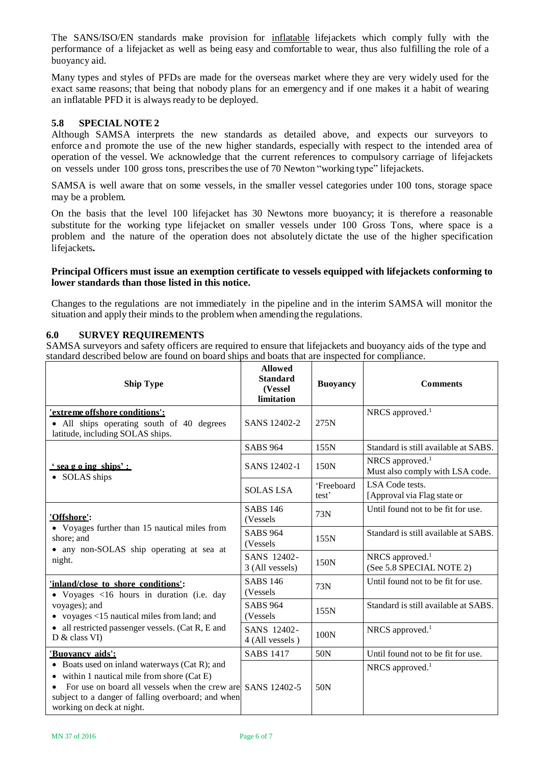The SANS/ISO/EN standards make provision for inflatable lifejackets which comply fully with the performance of a lifejacket as well as being easy and comfortable to wear, thus also fulfilling the role of a buoyancy aid.

Many types and styles of PFDs are made for the overseas market where they are very widely used for the exact same reasons; that being that nobody plans for an emergency and if one makes it a habit of wearing an inflatable PFD it is always ready to be deployed.

#### **5.8 SPECIAL NOTE 2**

Although SAMSA interprets the new standards as detailed above, and expects our surveyors to enforce and promote the use of the new higher standards, especially with respect to the intended area of operation of the vessel. We acknowledge that the current references to compulsory carriage of lifejackets on vessels under 100 gross tons, prescribesthe use of 70 Newton "working type" lifejackets.

SAMSA is well aware that on some vessels, in the smaller vessel categories under 100 tons, storage space may be a problem.

On the basis that the level 100 lifejacket has 30 Newtons more buoyancy; it is therefore a reasonable substitute for the working type lifejacket on smaller vessels under 100 Gross Tons, where space is a problem and the nature of the operation does not absolutely dictate the use of the higher specification lifejackets**.**

#### **Principal Officers must issue an exemption certificate to vessels equipped with lifejackets conforming to lower standards than those listed in this notice.**

Changes to the regulations are not immediately in the pipeline and in the interim SAMSA will monitor the situation and apply their minds to the problem when amending the regulations.

#### **6.0 SURVEY REQUIREMENTS**

SAMSA surveyors and safety officers are required to ensure that lifejackets and buoyancy aids of the type and standard described below are found on board ships and boats that are inspected for compliance.

| <b>Ship Type</b>                                                                                                                                                                                                                          | <b>Allowed</b><br><b>Standard</b><br>(Vessel<br>limitation | <b>Buoyancy</b>                 | <b>Comments</b>                                                |
|-------------------------------------------------------------------------------------------------------------------------------------------------------------------------------------------------------------------------------------------|------------------------------------------------------------|---------------------------------|----------------------------------------------------------------|
| 'extreme offshore conditions':<br>• All ships operating south of 40 degrees<br>latitude, including SOLAS ships.                                                                                                                           | SANS 12402-2                                               | 275N                            | NRCS approved. $1$                                             |
|                                                                                                                                                                                                                                           | <b>SABS 964</b>                                            | 155N                            | Standard is still available at SABS.                           |
| <u>' sea g o ing ships':</u><br>• SOLAS ships                                                                                                                                                                                             | SANS 12402-1                                               | 150N                            | NRCS approved. <sup>1</sup><br>Must also comply with LSA code. |
|                                                                                                                                                                                                                                           | <b>SOLAS LSA</b>                                           | 'Freeboard<br>test <sup>?</sup> | LSA Code tests.<br>[Approval via Flag state or                 |
| 'Offshore':                                                                                                                                                                                                                               | <b>SABS 146</b><br>(Vessels                                | 73N                             | Until found not to be fit for use.                             |
| • Voyages further than 15 nautical miles from<br>shore; and<br>• any non-SOLAS ship operating at sea at                                                                                                                                   | <b>SABS 964</b><br>(Vessels)                               | 155N                            | Standard is still available at SABS.                           |
| night.                                                                                                                                                                                                                                    | SANS 12402-<br>3 (All vessels)                             | 150N                            | NRCS approved. <sup>1</sup><br>(See 5.8 SPECIAL NOTE 2)        |
| 'inland/close to shore conditions':<br>• Voyages <16 hours in duration (i.e. day                                                                                                                                                          | <b>SABS 146</b><br>(Vessels)                               | 73N                             | Until found not to be fit for use.                             |
| voyages); and<br>• voyages $<$ 15 nautical miles from land; and                                                                                                                                                                           | <b>SABS 964</b><br>(Vessels)                               | 155N                            | Standard is still available at SABS.                           |
| • all restricted passenger vessels. (Cat R, E and<br>D & class VI                                                                                                                                                                         | SANS 12402-<br>4 (All vessels)                             | 100N                            | NRCS approved. <sup>1</sup>                                    |
| <u>'Buovancy aids':</u>                                                                                                                                                                                                                   | <b>SABS 1417</b>                                           | 50N                             | Until found not to be fit for use.                             |
| • Boats used on inland waterways (Cat R); and<br>$\bullet$ within 1 nautical mile from shore (Cat E)<br>For use on board all vessels when the crew are<br>subject to a danger of falling overboard; and when<br>working on deck at night. | SANS 12402-5                                               | 50 <sub>N</sub>                 | NRCS approved. <sup>1</sup>                                    |